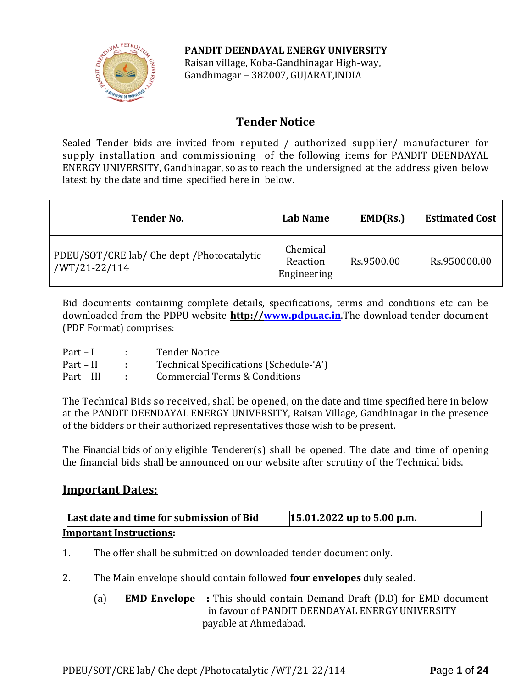

**PANDIT DEENDAYAL ENERGY UNIVERSITY** Raisan village, Koba-Gandhinagar High-way, Gandhinagar – 382007, GUJARAT,INDIA

# **Tender Notice**

Sealed Tender bids are invited from reputed / authorized supplier/ manufacturer for supply installation and commissioning of the following items for PANDIT DEENDAYAL ENERGY UNIVERSITY, Gandhinagar, so as to reach the undersigned at the address given below latest by the date and time specified here in below.

| <b>Tender No.</b>                                              | <b>Lab Name</b>                     | EMD(Rs.)   | <b>Estimated Cost</b> |
|----------------------------------------------------------------|-------------------------------------|------------|-----------------------|
| PDEU/SOT/CRE lab/ Che dept / Photocatalytic  <br>/WT/21-22/114 | Chemical<br>Reaction<br>Engineering | Rs.9500.00 | Rs.950000.00          |

Bid documents containing complete details, specifications, terms and conditions etc can be downloaded from the PDPU website **http:/[/www.pdpu.ac.in](http://www.pdpu.ac.in/)**.The download tender document (PDF Format) comprises:

| $Part - I$ | <b>Tender Notice</b>                     |
|------------|------------------------------------------|
| Part – II  | Technical Specifications (Schedule-'A')  |
| Part – III | <b>Commercial Terms &amp; Conditions</b> |

The Technical Bids so received, shall be opened, on the date and time specified here in below at the PANDIT DEENDAYAL ENERGY UNIVERSITY, Raisan Village, Gandhinagar in the presence of the bidders or their authorized representatives those wish to be present.

The Financial bids of only eligible Tenderer(s) shall be opened. The date and time of opening the financial bids shall be announced on our website after scrutiny of the Technical bids.

## **Important Dates:**

| Last date and time for submission of Bid | $15.01.2022$ up to 5.00 p.m. |
|------------------------------------------|------------------------------|
| <b>Important Instructions:</b>           |                              |

- 1. The offer shall be submitted on downloaded tender document only.
- 2. The Main envelope should contain followed **four envelopes** duly sealed.
	- (a) **EMD Envelope :** This should contain Demand Draft (D.D) for EMD document in favour of PANDIT DEENDAYAL ENERGY UNIVERSITY payable at Ahmedabad.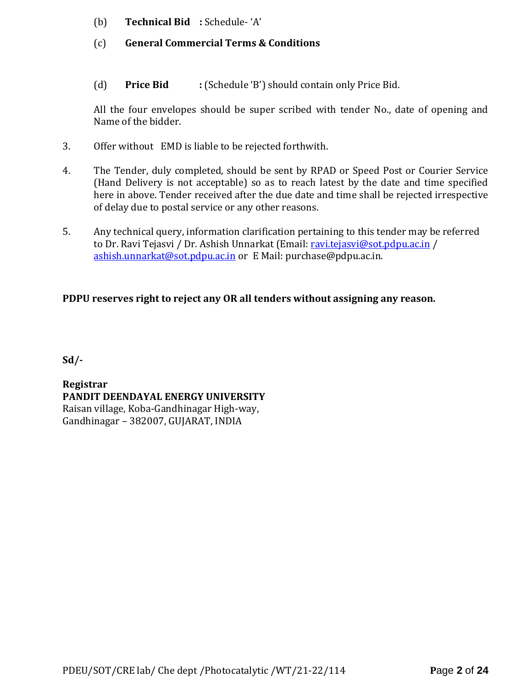- (b) **Technical Bid :** Schedule- 'A'
- (c) **General Commercial Terms & Conditions**
- (d) **Price Bid :** (Schedule 'B') should contain only Price Bid.

All the four envelopes should be super scribed with tender No., date of opening and Name of the bidder.

- 3. Offer without EMD is liable to be rejected forthwith.
- 4. The Tender, duly completed, should be sent by RPAD or Speed Post or Courier Service (Hand Delivery is not acceptable) so as to reach latest by the date and time specified here in above. Tender received after the due date and time shall be rejected irrespective of delay due to postal service or any other reasons.
- 5. Any technical query, information clarification pertaining to this tender may be referred to Dr. Ravi Tejasvi / Dr. Ashish Unnarkat (Email[: ravi.tejasvi@sot.pdpu.ac.in](mailto:ravi.tejasvi@sot.pdpu.ac.in) / [ashish.unnarkat@sot.pdpu.ac.in](mailto:ashish.unnarkat@sot.pdpu.ac.in) or E Mail: purchase@pdpu.ac.in.

### **PDPU reserves right to reject any OR all tenders without assigning any reason.**

**Sd/-**

**Registrar PANDIT DEENDAYAL ENERGY UNIVERSITY** Raisan village, Koba-Gandhinagar High-way, Gandhinagar – 382007, GUJARAT, INDIA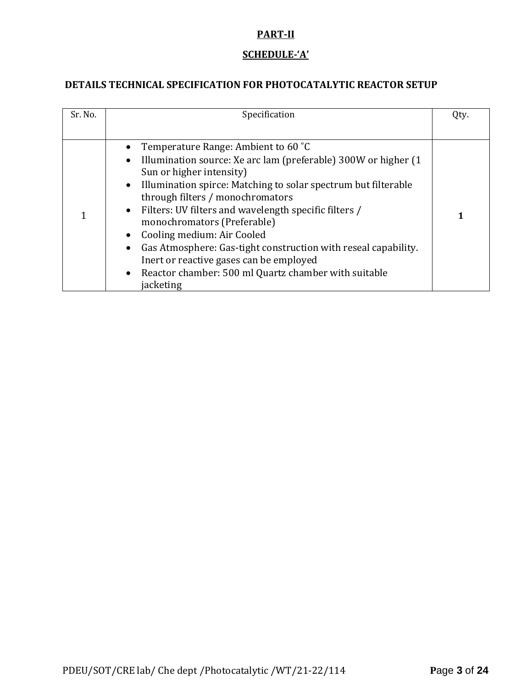### **PART-II**

# **SCHEDULE-'A'**

## **DETAILS TECHNICAL SPECIFICATION FOR PHOTOCATALYTIC REACTOR SETUP**

| Sr. No. | Specification                                                                                                                                                                                                                                                                                                                                                                                                                                                                                                                                                                             | Qty. |
|---------|-------------------------------------------------------------------------------------------------------------------------------------------------------------------------------------------------------------------------------------------------------------------------------------------------------------------------------------------------------------------------------------------------------------------------------------------------------------------------------------------------------------------------------------------------------------------------------------------|------|
|         |                                                                                                                                                                                                                                                                                                                                                                                                                                                                                                                                                                                           |      |
|         | Temperature Range: Ambient to 60 °C<br>Illumination source: Xe arc lam (preferable) 300W or higher (1)<br>$\bullet$<br>Sun or higher intensity)<br>Illumination spirce: Matching to solar spectrum but filterable<br>$\bullet$<br>through filters / monochromators<br>• Filters: UV filters and wavelength specific filters /<br>monochromators (Preferable)<br>Cooling medium: Air Cooled<br>Gas Atmosphere: Gas-tight construction with reseal capability.<br>Inert or reactive gases can be employed<br>Reactor chamber: 500 ml Quartz chamber with suitable<br>$\bullet$<br>jacketing |      |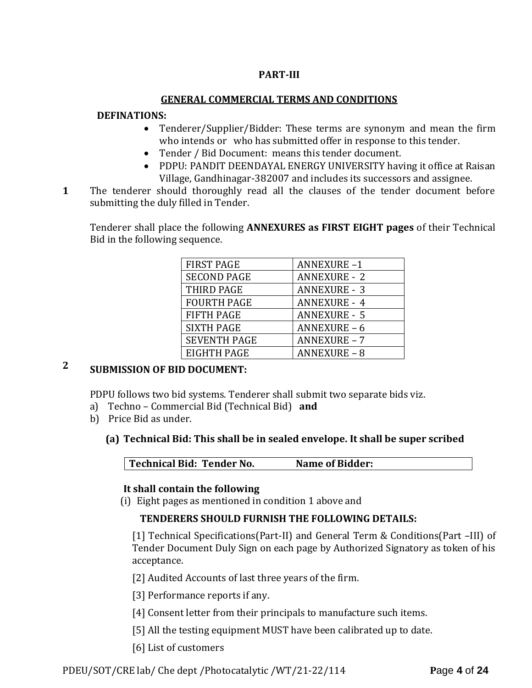### **PART-III**

#### **GENERAL COMMERCIAL TERMS AND CONDITIONS**

#### **DEFINATIONS:**

- Tenderer/Supplier/Bidder: These terms are synonym and mean the firm who intends or who has submitted offer in response to this tender.
- Tender / Bid Document: means this tender document.
- PDPU: PANDIT DEENDAYAL ENERGY UNIVERSITY having it office at Raisan Village, Gandhinagar-382007 and includes its successors and assignee.
- **1**1. The tenderer should thoroughly read all the clauses of the tender document before submitting the duly filled in Tender.

Tenderer shall place the following **ANNEXURES as FIRST EIGHT pages** of their Technical Bid in the following sequence.

| <b>FIRST PAGE</b>   | <b>ANNEXURE-1</b>   |
|---------------------|---------------------|
| <b>SECOND PAGE</b>  | <b>ANNEXURE - 2</b> |
| THIRD PAGE          | <b>ANNEXURE - 3</b> |
| <b>FOURTH PAGE</b>  | <b>ANNEXURE - 4</b> |
| <b>FIFTH PAGE</b>   | <b>ANNEXURE - 5</b> |
| <b>SIXTH PAGE</b>   | ANNEXURE-6          |
| <b>SEVENTH PAGE</b> | <b>ANNEXURE - 7</b> |
| <b>EIGHTH PAGE</b>  | <b>ANNEXURE - 8</b> |

# **2 SUBMISSION OF BID DOCUMENT:**

PDPU follows two bid systems. Tenderer shall submit two separate bids viz.

- a) Techno Commercial Bid (Technical Bid) **and**
- b) Price Bid as under.

### **(a) Technical Bid: This shall be in sealed envelope. It shall be super scribed**

**Technical Bid: Tender No. Name of Bidder:**

#### **It shall contain the following**

(i) Eight pages as mentioned in condition 1 above and

### **TENDERERS SHOULD FURNISH THE FOLLOWING DETAILS:**

[1] Technical Specifications(Part-II) and General Term & Conditions(Part –III) of Tender Document Duly Sign on each page by Authorized Signatory as token of his acceptance.

[2] Audited Accounts of last three years of the firm.

[3] Performance reports if any.

- [4] Consent letter from their principals to manufacture such items.
- [5] All the testing equipment MUST have been calibrated up to date.
- [6] List of customers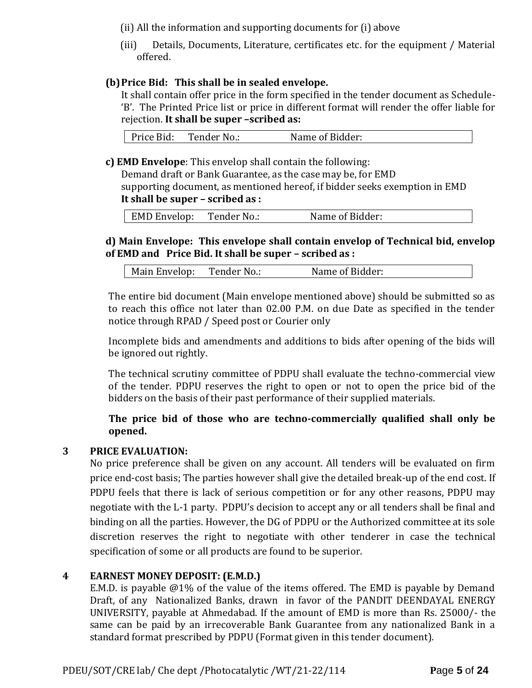(ii) All the information and supporting documents for (i) above

(iii) Details, Documents, Literature, certificates etc. for the equipment / Material offered.

### **(b)Price Bid: This shall be in sealed envelope.**

It shall contain offer price in the form specified in the tender document as Schedule- 'B'. The Printed Price list or price in different format will render the offer liable for rejection. **It shall be super –scribed as:**

| Price Bid: | Tender No.: | Name of Bidder: |
|------------|-------------|-----------------|
|------------|-------------|-----------------|

**c) EMD Envelope**: This envelop shall contain the following:

Demand draft or Bank Guarantee, as the case may be, for EMD supporting document, as mentioned hereof, if bidder seeks exemption in EMD **It shall be super – scribed as :**

|  | <b>EMD Envelop:</b> | Tender No.: | Name of Bidder: |
|--|---------------------|-------------|-----------------|
|--|---------------------|-------------|-----------------|

### **d) Main Envelope: This envelope shall contain envelop of Technical bid, envelop of EMD and Price Bid. It shall be super – scribed as :**

| Main Envelop:<br>Tender No.: | Name of Bidder: |
|------------------------------|-----------------|
|------------------------------|-----------------|

The entire bid document (Main envelope mentioned above) should be submitted so as to reach this office not later than 02.00 P.M. on due Date as specified in the tender notice through RPAD / Speed post or Courier only

Incomplete bids and amendments and additions to bids after opening of the bids will be ignored out rightly.

The technical scrutiny committee of PDPU shall evaluate the techno-commercial view of the tender. PDPU reserves the right to open or not to open the price bid of the bidders on the basis of their past performance of their supplied materials.

### **The price bid of those who are techno-commercially qualified shall only be opened.**

#### **3 PRICE EVALUATION:**

No price preference shall be given on any account. All tenders will be evaluated on firm price end-cost basis; The parties however shall give the detailed break-up of the end cost. If PDPU feels that there is lack of serious competition or for any other reasons, PDPU may negotiate with the L-1 party. PDPU's decision to accept any or all tenders shall be final and binding on all the parties. However, the DG of PDPU or the Authorized committee at its sole discretion reserves the right to negotiate with other tenderer in case the technical specification of some or all products are found to be superior.

#### **4 EARNEST MONEY DEPOSIT: (E.M.D.)**

E.M.D. is payable @1% of the value of the items offered. The EMD is payable by Demand Draft, of any Nationalized Banks, drawn in favor of the PANDIT DEENDAYAL ENERGY UNIVERSITY, payable at Ahmedabad. If the amount of EMD is more than Rs. 25000/- the same can be paid by an irrecoverable Bank Guarantee from any nationalized Bank in a standard format prescribed by PDPU (Format given in this tender document).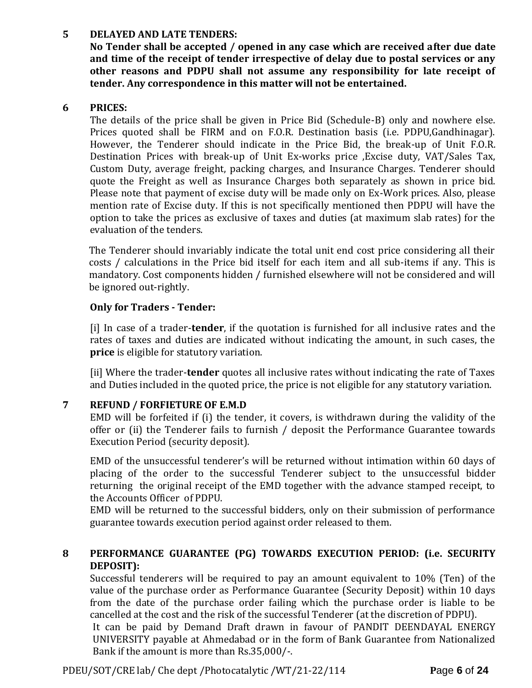#### **5 DELAYED AND LATE TENDERS:**

**No Tender shall be accepted / opened in any case which are received after due date and time of the receipt of tender irrespective of delay due to postal services or any other reasons and PDPU shall not assume any responsibility for late receipt of tender. Any correspondence in this matter will not be entertained.**

### **6 PRICES:**

The details of the price shall be given in Price Bid (Schedule-B) only and nowhere else. Prices quoted shall be FIRM and on F.O.R. Destination basis (i.e. PDPU,Gandhinagar). However, the Tenderer should indicate in the Price Bid, the break-up of Unit F.O.R. Destination Prices with break-up of Unit Ex-works price ,Excise duty, VAT/Sales Tax, Custom Duty, average freight, packing charges, and Insurance Charges. Tenderer should quote the Freight as well as Insurance Charges both separately as shown in price bid. Please note that payment of excise duty will be made only on Ex-Work prices. Also, please mention rate of Excise duty. If this is not specifically mentioned then PDPU will have the option to take the prices as exclusive of taxes and duties (at maximum slab rates) for the evaluation of the tenders.

The Tenderer should invariably indicate the total unit end cost price considering all their costs / calculations in the Price bid itself for each item and all sub-items if any. This is mandatory. Cost components hidden / furnished elsewhere will not be considered and will be ignored out-rightly.

### **Only for Traders - Tender:**

[i] In case of a trader-**tender**, if the quotation is furnished for all inclusive rates and the rates of taxes and duties are indicated without indicating the amount, in such cases, the **price** is eligible for statutory variation.

[ii] Where the trader-**tender** quotes all inclusive rates without indicating the rate of Taxes and Duties included in the quoted price, the price is not eligible for any statutory variation.

### **7 REFUND / FORFIETURE OF E.M.D**

EMD will be forfeited if (i) the tender, it covers, is withdrawn during the validity of the offer or (ii) the Tenderer fails to furnish / deposit the Performance Guarantee towards Execution Period (security deposit).

EMD of the unsuccessful tenderer's will be returned without intimation within 60 days of placing of the order to the successful Tenderer subject to the unsuccessful bidder returning the original receipt of the EMD together with the advance stamped receipt, to the Accounts Officer of PDPU.

EMD will be returned to the successful bidders, only on their submission of performance guarantee towards execution period against order released to them.

### **8 PERFORMANCE GUARANTEE (PG) TOWARDS EXECUTION PERIOD: (i.e. SECURITY DEPOSIT):**

Successful tenderers will be required to pay an amount equivalent to 10% (Ten) of the value of the purchase order as Performance Guarantee (Security Deposit) within 10 days from the date of the purchase order failing which the purchase order is liable to be cancelled at the cost and the risk of the successful Tenderer (at the discretion of PDPU).

It can be paid by Demand Draft drawn in favour of PANDIT DEENDAYAL ENERGY UNIVERSITY payable at Ahmedabad or in the form of Bank Guarantee from Nationalized Bank if the amount is more than Rs.35,000/-.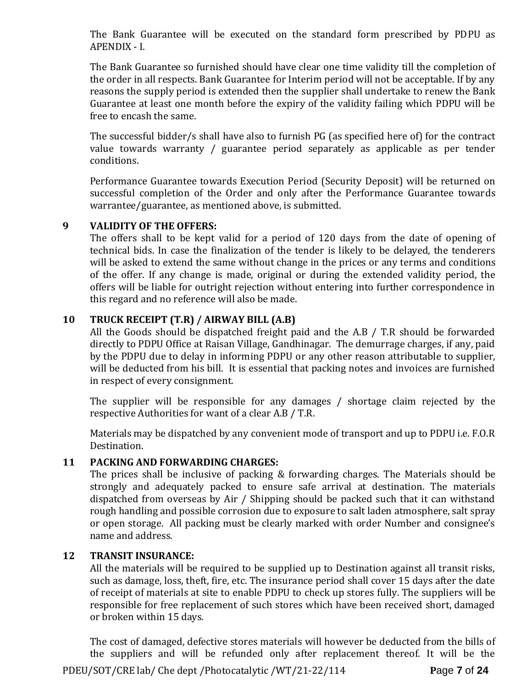The Bank Guarantee will be executed on the standard form prescribed by PDPU as APENDIX - I.

The Bank Guarantee so furnished should have clear one time validity till the completion of the order in all respects. Bank Guarantee for Interim period will not be acceptable. If by any reasons the supply period is extended then the supplier shall undertake to renew the Bank Guarantee at least one month before the expiry of the validity failing which PDPU will be free to encash the same.

The successful bidder/s shall have also to furnish PG (as specified here of) for the contract value towards warranty / guarantee period separately as applicable as per tender conditions.

Performance Guarantee towards Execution Period (Security Deposit) will be returned on successful completion of the Order and only after the Performance Guarantee towards warrantee/guarantee, as mentioned above, is submitted.

#### **9 VALIDITY OF THE OFFERS:**

The offers shall to be kept valid for a period of 120 days from the date of opening of technical bids. In case the finalization of the tender is likely to be delayed, the tenderers will be asked to extend the same without change in the prices or any terms and conditions of the offer. If any change is made, original or during the extended validity period, the offers will be liable for outright rejection without entering into further correspondence in this regard and no reference will also be made.

### **10 TRUCK RECEIPT (T.R) / AIRWAY BILL (A.B)**

All the Goods should be dispatched freight paid and the A.B / T.R should be forwarded directly to PDPU Office at Raisan Village, Gandhinagar. The demurrage charges, if any, paid by the PDPU due to delay in informing PDPU or any other reason attributable to supplier, will be deducted from his bill. It is essential that packing notes and invoices are furnished in respect of every consignment.

The supplier will be responsible for any damages / shortage claim rejected by the respective Authorities for want of a clear A.B / T.R.

Materials may be dispatched by any convenient mode of transport and up to PDPU i.e. F.O.R Destination.

### **11 PACKING AND FORWARDING CHARGES:**

The prices shall be inclusive of packing & forwarding charges. The Materials should be strongly and adequately packed to ensure safe arrival at destination. The materials dispatched from overseas by Air / Shipping should be packed such that it can withstand rough handling and possible corrosion due to exposure to salt laden atmosphere, salt spray or open storage. All packing must be clearly marked with order Number and consignee's name and address.

#### **12 TRANSIT INSURANCE:**

All the materials will be required to be supplied up to Destination against all transit risks, such as damage, loss, theft, fire, etc. The insurance period shall cover 15 days after the date of receipt of materials at site to enable PDPU to check up stores fully. The suppliers will be responsible for free replacement of such stores which have been received short, damaged or broken within 15 days.

PDEU/SOT/CRE lab/ Che dept /Photocatalytic /WT/21-22/114 **P**age **7** of **24** The cost of damaged, defective stores materials will however be deducted from the bills of the suppliers and will be refunded only after replacement thereof. It will be the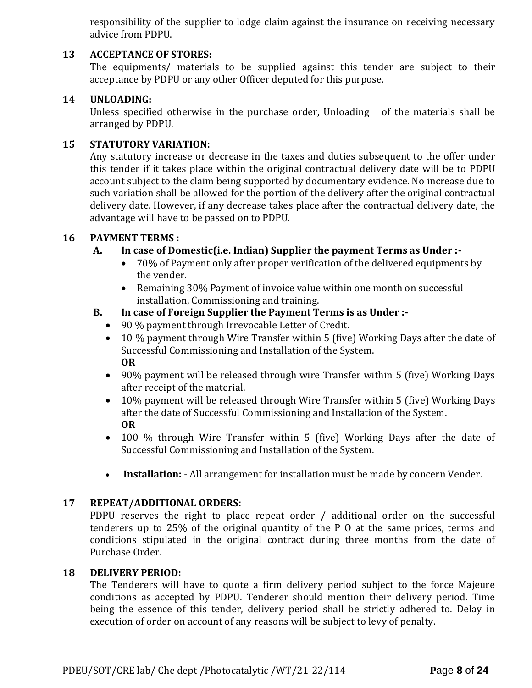responsibility of the supplier to lodge claim against the insurance on receiving necessary advice from PDPU.

### **13 ACCEPTANCE OF STORES:**

The equipments/ materials to be supplied against this tender are subject to their acceptance by PDPU or any other Officer deputed for this purpose.

#### **14 UNLOADING:**

Unless specified otherwise in the purchase order, Unloading of the materials shall be arranged by PDPU.

#### **15 STATUTORY VARIATION:**

Any statutory increase or decrease in the taxes and duties subsequent to the offer under this tender if it takes place within the original contractual delivery date will be to PDPU account subject to the claim being supported by documentary evidence. No increase due to such variation shall be allowed for the portion of the delivery after the original contractual delivery date. However, if any decrease takes place after the contractual delivery date, the advantage will have to be passed on to PDPU.

#### **16 PAYMENT TERMS :**

#### **A. In case of Domestic(i.e. Indian) Supplier the payment Terms as Under :-**

- 70% of Payment only after proper verification of the delivered equipments by the vender.
- Remaining 30% Payment of invoice value within one month on successful installation, Commissioning and training.

#### **B. In case of Foreign Supplier the Payment Terms is as Under :-**

- 90 % payment through Irrevocable Letter of Credit.
- 10 % payment through Wire Transfer within 5 (five) Working Days after the date of Successful Commissioning and Installation of the System. **OR**
- 90% payment will be released through wire Transfer within 5 (five) Working Days after receipt of the material.
- 10% payment will be released through Wire Transfer within 5 (five) Working Days after the date of Successful Commissioning and Installation of the System. **OR**
- 100 % through Wire Transfer within 5 (five) Working Days after the date of Successful Commissioning and Installation of the System.
- **Installation:** All arrangement for installation must be made by concern Vender.

#### **17 REPEAT/ADDITIONAL ORDERS:**

PDPU reserves the right to place repeat order / additional order on the successful tenderers up to 25% of the original quantity of the P O at the same prices, terms and conditions stipulated in the original contract during three months from the date of Purchase Order.

#### **18 DELIVERY PERIOD:**

The Tenderers will have to quote a firm delivery period subject to the force Majeure conditions as accepted by PDPU. Tenderer should mention their delivery period. Time being the essence of this tender, delivery period shall be strictly adhered to. Delay in execution of order on account of any reasons will be subject to levy of penalty.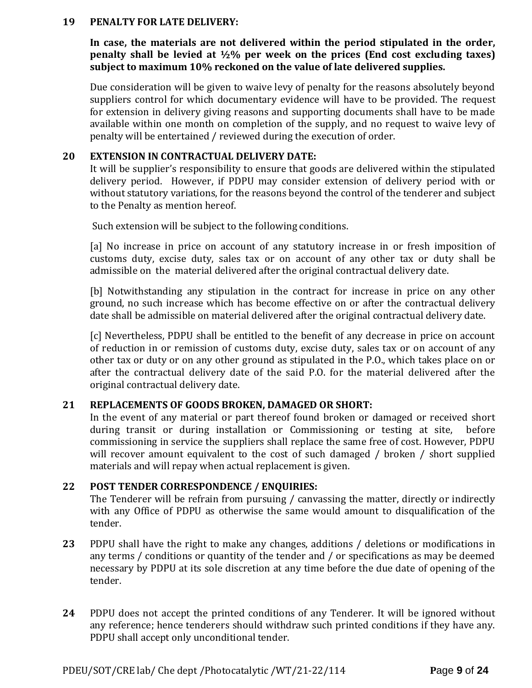#### **19 PENALTY FOR LATE DELIVERY:**

**In case, the materials are not delivered within the period stipulated in the order, penalty shall be levied at ½% per week on the prices (End cost excluding taxes) subject to maximum 10% reckoned on the value of late delivered supplies.**

Due consideration will be given to waive levy of penalty for the reasons absolutely beyond suppliers control for which documentary evidence will have to be provided. The request for extension in delivery giving reasons and supporting documents shall have to be made available within one month on completion of the supply, and no request to waive levy of penalty will be entertained / reviewed during the execution of order.

#### **20 EXTENSION IN CONTRACTUAL DELIVERY DATE:**

It will be supplier's responsibility to ensure that goods are delivered within the stipulated delivery period. However, if PDPU may consider extension of delivery period with or without statutory variations, for the reasons beyond the control of the tenderer and subject to the Penalty as mention hereof.

Such extension will be subject to the following conditions.

[a] No increase in price on account of any statutory increase in or fresh imposition of customs duty, excise duty, sales tax or on account of any other tax or duty shall be admissible on the material delivered after the original contractual delivery date.

[b] Notwithstanding any stipulation in the contract for increase in price on any other ground, no such increase which has become effective on or after the contractual delivery date shall be admissible on material delivered after the original contractual delivery date.

[c] Nevertheless, PDPU shall be entitled to the benefit of any decrease in price on account of reduction in or remission of customs duty, excise duty, sales tax or on account of any other tax or duty or on any other ground as stipulated in the P.O., which takes place on or after the contractual delivery date of the said P.O. for the material delivered after the original contractual delivery date.

#### **21 REPLACEMENTS OF GOODS BROKEN, DAMAGED OR SHORT:**

In the event of any material or part thereof found broken or damaged or received short during transit or during installation or Commissioning or testing at site, before commissioning in service the suppliers shall replace the same free of cost. However, PDPU will recover amount equivalent to the cost of such damaged / broken / short supplied materials and will repay when actual replacement is given.

#### **22 POST TENDER CORRESPONDENCE / ENQUIRIES:**

The Tenderer will be refrain from pursuing / canvassing the matter, directly or indirectly with any Office of PDPU as otherwise the same would amount to disqualification of the tender.

- **23** PDPU shall have the right to make any changes, additions / deletions or modifications in any terms / conditions or quantity of the tender and / or specifications as may be deemed necessary by PDPU at its sole discretion at any time before the due date of opening of the tender.
- **24** PDPU does not accept the printed conditions of any Tenderer. It will be ignored without any reference; hence tenderers should withdraw such printed conditions if they have any. PDPU shall accept only unconditional tender.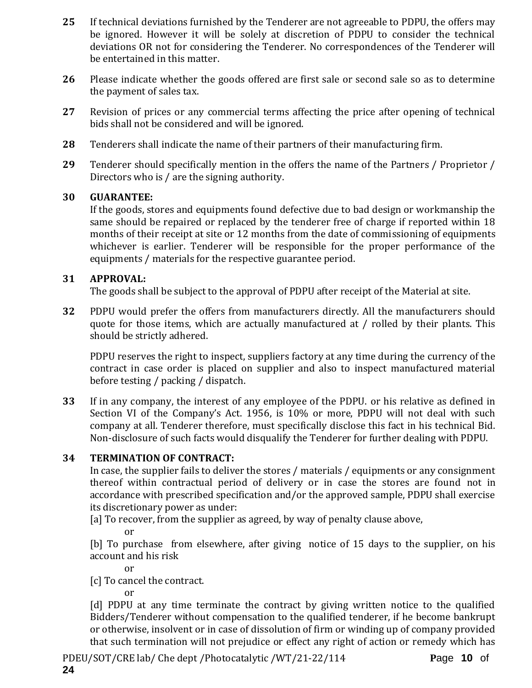- **25** If technical deviations furnished by the Tenderer are not agreeable to PDPU, the offers may be ignored. However it will be solely at discretion of PDPU to consider the technical deviations OR not for considering the Tenderer. No correspondences of the Tenderer will be entertained in this matter.
- **26** Please indicate whether the goods offered are first sale or second sale so as to determine the payment of sales tax.
- **27** Revision of prices or any commercial terms affecting the price after opening of technical bids shall not be considered and will be ignored.
- **28** Tenderers shall indicate the name of their partners of their manufacturing firm.
- **29** Tenderer should specifically mention in the offers the name of the Partners / Proprietor / Directors who is / are the signing authority.

#### **30 GUARANTEE:**

If the goods, stores and equipments found defective due to bad design or workmanship the same should be repaired or replaced by the tenderer free of charge if reported within 18 months of their receipt at site or 12 months from the date of commissioning of equipments whichever is earlier. Tenderer will be responsible for the proper performance of the equipments / materials for the respective guarantee period.

### **31 APPROVAL:**

The goods shall be subject to the approval of PDPU after receipt of the Material at site.

**32** PDPU would prefer the offers from manufacturers directly. All the manufacturers should quote for those items, which are actually manufactured at / rolled by their plants. This should be strictly adhered.

PDPU reserves the right to inspect, suppliers factory at any time during the currency of the contract in case order is placed on supplier and also to inspect manufactured material before testing / packing / dispatch.

**33** If in any company, the interest of any employee of the PDPU. or his relative as defined in Section VI of the Company's Act. 1956, is 10% or more, PDPU will not deal with such company at all. Tenderer therefore, must specifically disclose this fact in his technical Bid. Non-disclosure of such facts would disqualify the Tenderer for further dealing with PDPU.

### **34 TERMINATION OF CONTRACT:**

In case, the supplier fails to deliver the stores / materials / equipments or any consignment thereof within contractual period of delivery or in case the stores are found not in accordance with prescribed specification and/or the approved sample, PDPU shall exercise its discretionary power as under:

[a] To recover, from the supplier as agreed, by way of penalty clause above,

or

[b] To purchase from elsewhere, after giving notice of 15 days to the supplier, on his account and his risk

or

[c] To cancel the contract.

or

[d] PDPU at any time terminate the contract by giving written notice to the qualified Bidders/Tenderer without compensation to the qualified tenderer, if he become bankrupt or otherwise, insolvent or in case of dissolution of firm or winding up of company provided that such termination will not prejudice or effect any right of action or remedy which has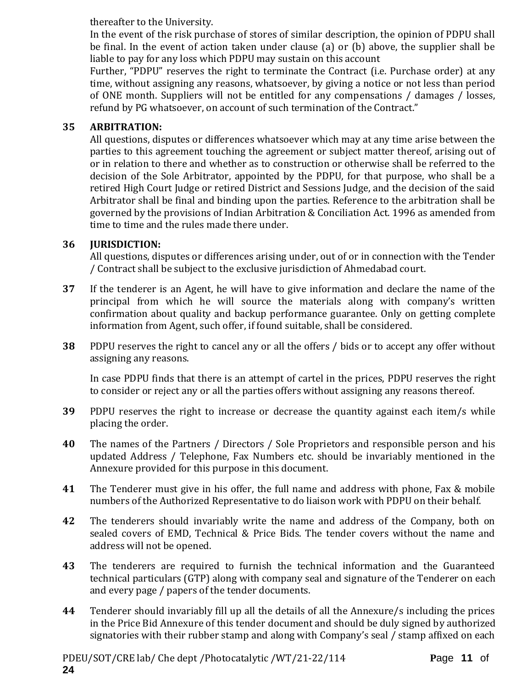thereafter to the University.

In the event of the risk purchase of stores of similar description, the opinion of PDPU shall be final. In the event of action taken under clause (a) or (b) above, the supplier shall be liable to pay for any loss which PDPU may sustain on this account

Further, "PDPU" reserves the right to terminate the Contract (i.e. Purchase order) at any time, without assigning any reasons, whatsoever, by giving a notice or not less than period of ONE month. Suppliers will not be entitled for any compensations / damages / losses, refund by PG whatsoever, on account of such termination of the Contract."

### **35 ARBITRATION:**

All questions, disputes or differences whatsoever which may at any time arise between the parties to this agreement touching the agreement or subject matter thereof, arising out of or in relation to there and whether as to construction or otherwise shall be referred to the decision of the Sole Arbitrator, appointed by the PDPU, for that purpose, who shall be a retired High Court Judge or retired District and Sessions Judge, and the decision of the said Arbitrator shall be final and binding upon the parties. Reference to the arbitration shall be governed by the provisions of Indian Arbitration & Conciliation Act. 1996 as amended from time to time and the rules made there under.

### **36 JURISDICTION:**

All questions, disputes or differences arising under, out of or in connection with the Tender / Contract shall be subject to the exclusive jurisdiction of Ahmedabad court.

- **37** If the tenderer is an Agent, he will have to give information and declare the name of the principal from which he will source the materials along with company's written confirmation about quality and backup performance guarantee. Only on getting complete information from Agent, such offer, if found suitable, shall be considered.
- **38** PDPU reserves the right to cancel any or all the offers / bids or to accept any offer without assigning any reasons.

In case PDPU finds that there is an attempt of cartel in the prices, PDPU reserves the right to consider or reject any or all the parties offers without assigning any reasons thereof.

- **39** PDPU reserves the right to increase or decrease the quantity against each item/s while placing the order.
- **40** The names of the Partners / Directors / Sole Proprietors and responsible person and his updated Address / Telephone, Fax Numbers etc. should be invariably mentioned in the Annexure provided for this purpose in this document.
- **41** The Tenderer must give in his offer, the full name and address with phone, Fax & mobile numbers of the Authorized Representative to do liaison work with PDPU on their behalf.
- **42** The tenderers should invariably write the name and address of the Company, both on sealed covers of EMD, Technical & Price Bids. The tender covers without the name and address will not be opened.
- **43** The tenderers are required to furnish the technical information and the Guaranteed technical particulars (GTP) along with company seal and signature of the Tenderer on each and every page / papers of the tender documents.
- **44** Tenderer should invariably fill up all the details of all the Annexure/s including the prices in the Price Bid Annexure of this tender document and should be duly signed by authorized signatories with their rubber stamp and along with Company's seal / stamp affixed on each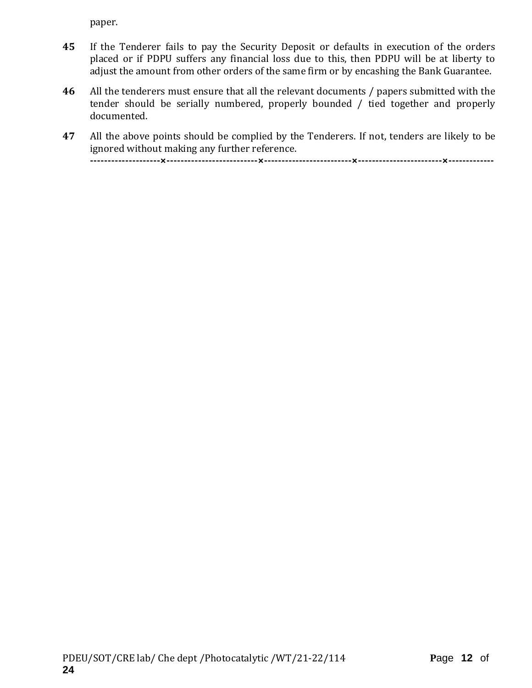paper.

- **45** If the Tenderer fails to pay the Security Deposit or defaults in execution of the orders placed or if PDPU suffers any financial loss due to this, then PDPU will be at liberty to adjust the amount from other orders of the same firm or by encashing the Bank Guarantee.
- **46** All the tenderers must ensure that all the relevant documents / papers submitted with the tender should be serially numbered, properly bounded / tied together and properly documented.
- **47** All the above points should be complied by the Tenderers. If not, tenders are likely to be ignored without making any further reference. **--------------------×--------------------------×-------------------------×------------------------×-------------**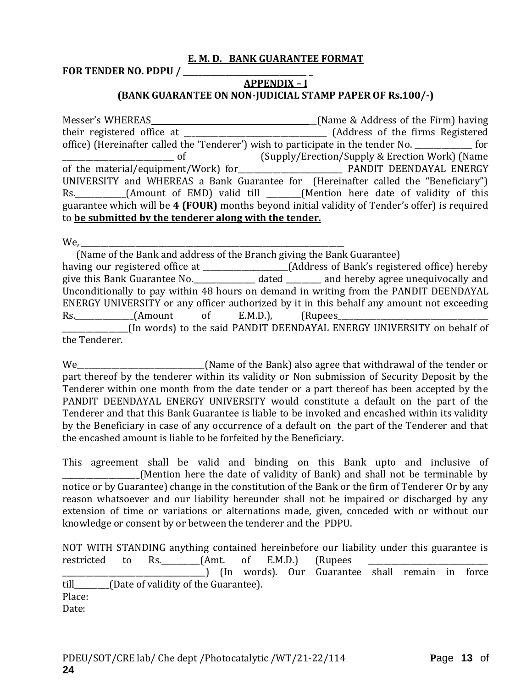#### **E. M. D. BANK GUARANTEE FORMAT**

**FOR TENDER NO. PDPU / \_\_\_\_\_\_\_\_\_\_\_\_\_\_\_\_\_\_\_\_\_\_\_\_\_\_\_\_\_\_\_\_ \_**

### **APPENDIX – I (BANK GUARANTEE ON NON-JUDICIAL STAMP PAPER OF Rs.100/-)**

Messer's WHEREAS \_\_\_\_\_\_\_\_\_\_\_\_\_\_\_\_\_\_\_\_\_\_\_\_\_\_\_\_\_\_\_\_\_\_\_\_\_\_\_\_\_\_(Name & Address of the Firm) having their registered office at \_\_\_\_\_\_\_\_\_\_\_\_\_\_\_\_\_\_\_\_\_\_\_\_\_\_\_\_\_\_\_\_\_\_\_\_\_ (Address of the firms Registered office) (Hereinafter called the 'Tenderer') wish to participate in the tender No. \_\_\_\_\_\_\_\_\_\_\_\_\_\_\_ for \_\_\_\_\_\_\_\_\_\_\_\_\_\_\_\_\_\_\_\_\_\_\_\_\_\_\_\_\_ of (Supply/Erection/Supply & Erection Work) (Name of the material/equipment/Work) for PANDIT DEENDAYAL ENERGY UNIVERSITY and WHEREAS a Bank Guarantee for (Hereinafter called the "Beneficiary") Rs. \_\_\_\_\_\_\_\_\_\_(Amount of EMD) valid till \_\_\_\_\_\_(Mention here date of validity of this guarantee which will be **4 (FOUR)** months beyond initial validity of Tender's offer) is required to **be submitted by the tenderer along with the tender.**

 $We,$ 

 (Name of the Bank and address of the Branch giving the Bank Guarantee) having our registered office at \_\_\_\_\_\_\_\_\_\_\_\_\_\_\_\_\_\_\_\_(Address of Bank's registered office) hereby give this Bank Guarantee No.\_\_\_\_\_\_\_\_\_\_\_\_\_\_\_\_ dated \_\_\_\_\_\_\_\_\_ and hereby agree unequivocally and Unconditionally to pay within 48 hours on demand in writing from the PANDIT DEENDAYAL ENERGY UNIVERSITY or any officer authorized by it in this behalf any amount not exceeding Rs. \_\_\_\_\_\_\_\_\_\_\_\_(Amount of E.M.D.), (Rupees\_ (In words) to the said PANDIT DEENDAYAL ENERGY UNIVERSITY on behalf of the Tenderer.

We\_\_\_\_\_\_\_\_\_\_\_\_\_\_\_\_\_\_\_\_\_\_\_\_\_\_\_\_\_\_\_\_\_(Name of the Bank) also agree that withdrawal of the tender or part thereof by the tenderer within its validity or Non submission of Security Deposit by the Tenderer within one month from the date tender or a part thereof has been accepted by the PANDIT DEENDAYAL ENERGY UNIVERSITY would constitute a default on the part of the Tenderer and that this Bank Guarantee is liable to be invoked and encashed within its validity by the Beneficiary in case of any occurrence of a default on the part of the Tenderer and that the encashed amount is liable to be forfeited by the Beneficiary.

This agreement shall be valid and binding on this Bank upto and inclusive of \_\_\_\_\_\_\_\_\_\_\_\_\_\_\_\_\_\_\_\_(Mention here the date of validity of Bank) and shall not be terminable by notice or by Guarantee) change in the constitution of the Bank or the firm of Tenderer Or by any reason whatsoever and our liability hereunder shall not be impaired or discharged by any extension of time or variations or alternations made, given, conceded with or without our knowledge or consent by or between the tenderer and the PDPU.

|        |  | NOT WITH STANDING anything contained hereinbefore our liability under this guarantee is |  |  |  |  |
|--------|--|-----------------------------------------------------------------------------------------|--|--|--|--|
|        |  | restricted to Rs. (Amt. of E.M.D.) (Rupees                                              |  |  |  |  |
|        |  |                                                                                         |  |  |  |  |
|        |  | till (Date of validity of the Guarantee).                                               |  |  |  |  |
| Place: |  |                                                                                         |  |  |  |  |
| Date:  |  |                                                                                         |  |  |  |  |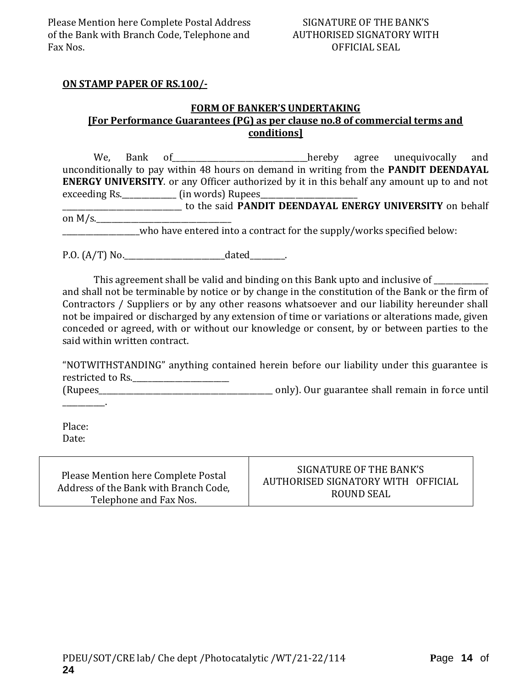#### **ON STAMP PAPER OF RS.100/-**

#### **FORM OF BANKER'S UNDERTAKING [For Performance Guarantees (PG) as per clause no.8 of commercial terms and conditions]**

We, Bank of the contract of the end of the hereby agree unequivocally and unconditionally to pay within 48 hours on demand in writing from the **PANDIT DEENDAYAL ENERGY UNIVERSITY**. or any Officer authorized by it in this behalf any amount up to and not exceeding Rs.\_\_\_\_\_\_\_\_\_\_\_\_\_\_\_\_\_ (in words) Rupees\_ \_\_\_\_\_\_\_\_\_\_\_\_\_\_\_\_\_\_\_\_\_\_\_\_\_\_\_\_\_\_\_ to the said **PANDIT DEENDAYAL ENERGY UNIVERSITY** on behalf on  $M/s$ .

who have entered into a contract for the supply/works specified below:

P.O. (A/T) No.\_\_\_\_\_\_\_\_\_\_\_\_\_\_\_\_\_\_\_\_\_\_\_\_\_\_dated\_\_\_\_\_\_\_\_\_.

This agreement shall be valid and binding on this Bank upto and inclusive of \_\_\_\_\_\_\_\_\_\_ and shall not be terminable by notice or by change in the constitution of the Bank or the firm of Contractors / Suppliers or by any other reasons whatsoever and our liability hereunder shall not be impaired or discharged by any extension of time or variations or alterations made, given conceded or agreed, with or without our knowledge or consent, by or between parties to the said within written contract.

"NOTWITHSTANDING" anything contained herein before our liability under this guarantee is restricted to Rs.\_\_\_\_\_\_\_\_\_\_\_\_\_\_\_\_\_\_\_\_\_\_\_\_\_

(Rupees\_\_\_\_\_\_\_\_\_\_\_\_\_\_\_\_\_\_\_\_\_\_\_\_\_\_\_\_\_\_\_\_\_\_\_\_\_\_\_\_\_\_\_\_\_ only). Our guarantee shall remain in force until

Place: Date:

 $\sim$ 

Please Mention here Complete Postal Address of the Bank with Branch Code, Telephone and Fax Nos.

### SIGNATURE OF THE BANK'S AUTHORISED SIGNATORY WITH OFFICIAL ROUND SEAL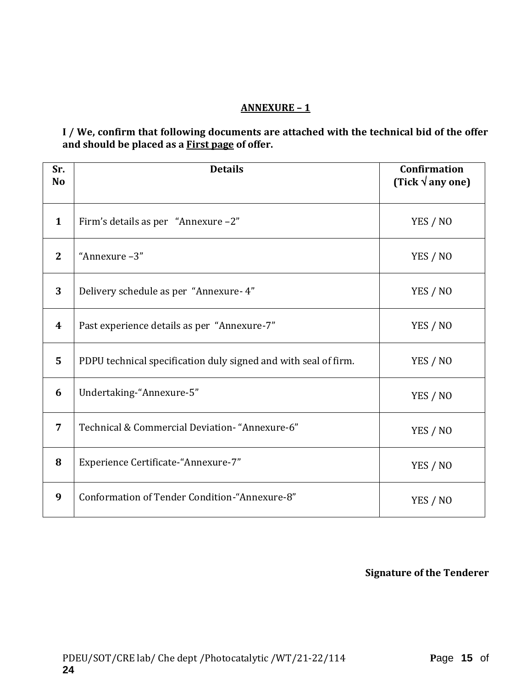### **ANNEXURE – 1**

### **I / We, confirm that following documents are attached with the technical bid of the offer and should be placed as a First page of offer.**

| Sr.<br>N <sub>o</sub> | <b>Details</b>                                                  | <b>Confirmation</b><br>(Tick $\sqrt{a}$ any one) |
|-----------------------|-----------------------------------------------------------------|--------------------------------------------------|
| $\mathbf{1}$          | Firm's details as per "Annexure -2"                             | YES / NO                                         |
| $\mathbf{2}$          | "Annexure-3"                                                    | YES / NO                                         |
| 3                     | Delivery schedule as per "Annexure- 4"                          | YES / NO                                         |
| 4                     | Past experience details as per "Annexure-7"                     | YES / NO                                         |
| 5                     | PDPU technical specification duly signed and with seal of firm. | YES / NO                                         |
| 6                     | Undertaking-"Annexure-5"                                        | YES / NO                                         |
| 7                     | Technical & Commercial Deviation- "Annexure-6"                  | YES / NO                                         |
| 8                     | Experience Certificate-"Annexure-7"                             | YES / NO                                         |
| 9                     | Conformation of Tender Condition-"Annexure-8"                   | YES / NO                                         |

### **Signature of the Tenderer**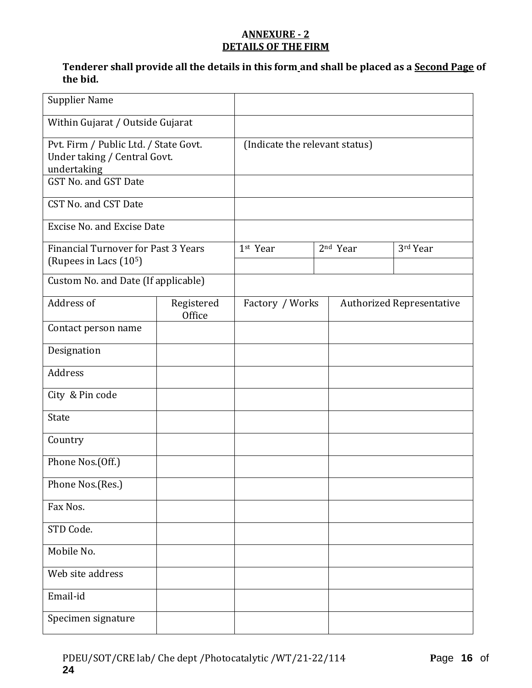### **ANNEXURE - 2 DETAILS OF THE FIRM**

### **Tenderer shall provide all the details in this form and shall be placed as a Second Page of the bid.**

| <b>Supplier Name</b>                                                                                         |                      |                                |  |                      |                                  |
|--------------------------------------------------------------------------------------------------------------|----------------------|--------------------------------|--|----------------------|----------------------------------|
| Within Gujarat / Outside Gujarat                                                                             |                      |                                |  |                      |                                  |
| Pvt. Firm / Public Ltd. / State Govt.<br>Under taking / Central Govt.<br>undertaking<br>GST No. and GST Date |                      | (Indicate the relevant status) |  |                      |                                  |
| CST No. and CST Date                                                                                         |                      |                                |  |                      |                                  |
| <b>Excise No. and Excise Date</b>                                                                            |                      |                                |  |                      |                                  |
| <b>Financial Turnover for Past 3 Years</b><br>(Rupees in Lacs (10 <sup>5</sup> )                             |                      | 1st Year                       |  | 2 <sup>nd</sup> Year | 3rd Year                         |
| Custom No. and Date (If applicable)                                                                          |                      |                                |  |                      |                                  |
| Address of                                                                                                   | Registered<br>Office | Factory / Works                |  |                      | <b>Authorized Representative</b> |
| Contact person name                                                                                          |                      |                                |  |                      |                                  |
| Designation                                                                                                  |                      |                                |  |                      |                                  |
| Address                                                                                                      |                      |                                |  |                      |                                  |
| City & Pin code                                                                                              |                      |                                |  |                      |                                  |
| <b>State</b>                                                                                                 |                      |                                |  |                      |                                  |
| Country                                                                                                      |                      |                                |  |                      |                                  |
| Phone Nos.(Off.)                                                                                             |                      |                                |  |                      |                                  |
| Phone Nos.(Res.)                                                                                             |                      |                                |  |                      |                                  |
| Fax Nos.                                                                                                     |                      |                                |  |                      |                                  |
| STD Code.                                                                                                    |                      |                                |  |                      |                                  |
| Mobile No.                                                                                                   |                      |                                |  |                      |                                  |
| Web site address                                                                                             |                      |                                |  |                      |                                  |
| Email-id                                                                                                     |                      |                                |  |                      |                                  |
| Specimen signature                                                                                           |                      |                                |  |                      |                                  |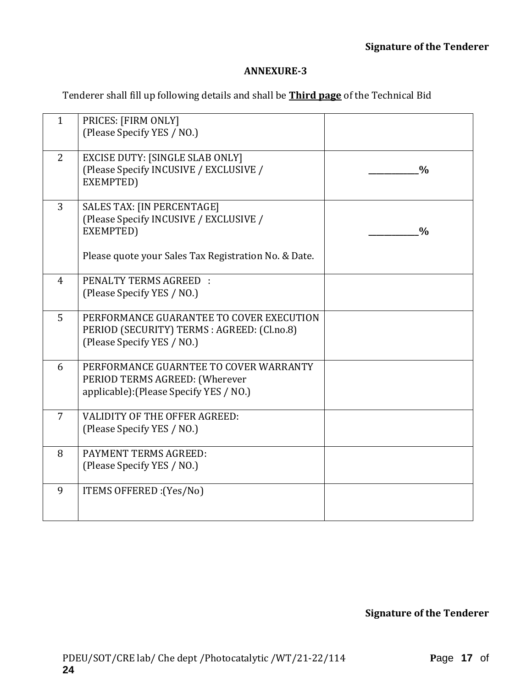#### **ANNEXURE-3**

Tenderer shall fill up following details and shall be **Third page** of the Technical Bid

| $\mathbf{1}$   | PRICES: [FIRM ONLY]<br>(Please Specify YES / NO.)                                                                     |               |
|----------------|-----------------------------------------------------------------------------------------------------------------------|---------------|
| $\overline{2}$ | <b>EXCISE DUTY: [SINGLE SLAB ONLY]</b><br>(Please Specify INCUSIVE / EXCLUSIVE /<br>EXEMPTED)                         | $\frac{0}{0}$ |
| 3              | <b>SALES TAX: [IN PERCENTAGE]</b><br>(Please Specify INCUSIVE / EXCLUSIVE /<br>EXEMPTED)                              | $\frac{0}{0}$ |
|                | Please quote your Sales Tax Registration No. & Date.                                                                  |               |
| $\overline{4}$ | PENALTY TERMS AGREED :<br>(Please Specify YES / NO.)                                                                  |               |
| 5              | PERFORMANCE GUARANTEE TO COVER EXECUTION<br>PERIOD (SECURITY) TERMS : AGREED: (Cl.no.8)<br>(Please Specify YES / NO.) |               |
| 6              | PERFORMANCE GUARNTEE TO COVER WARRANTY<br>PERIOD TERMS AGREED: (Wherever<br>applicable): (Please Specify YES / NO.)   |               |
| $\overline{7}$ | <b>VALIDITY OF THE OFFER AGREED:</b><br>(Please Specify YES / NO.)                                                    |               |
| 8              | PAYMENT TERMS AGREED:<br>(Please Specify YES / NO.)                                                                   |               |
| 9              | ITEMS OFFERED : (Yes/No)                                                                                              |               |

**Signature of the Tenderer**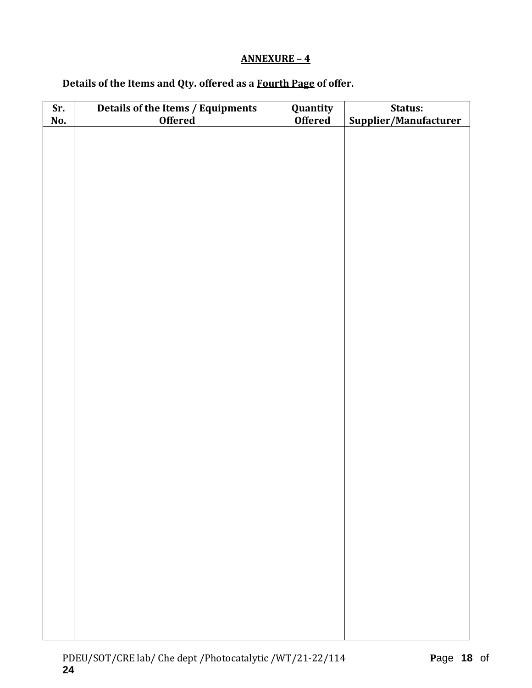### **ANNEXURE – 4**

# **Details of the Items and Qty. offered as a Fourth Page of offer.**

| Sr.<br>No. | Details of the Items / Equipments<br>Offered | Quantity<br><b>Offered</b> | Status:<br>Supplier/Manufacturer |  |  |  |
|------------|----------------------------------------------|----------------------------|----------------------------------|--|--|--|
|            |                                              |                            |                                  |  |  |  |
|            |                                              |                            |                                  |  |  |  |
|            |                                              |                            |                                  |  |  |  |
|            |                                              |                            |                                  |  |  |  |
|            |                                              |                            |                                  |  |  |  |
|            |                                              |                            |                                  |  |  |  |
|            |                                              |                            |                                  |  |  |  |
|            |                                              |                            |                                  |  |  |  |
|            |                                              |                            |                                  |  |  |  |
|            |                                              |                            |                                  |  |  |  |
|            |                                              |                            |                                  |  |  |  |
|            |                                              |                            |                                  |  |  |  |
|            |                                              |                            |                                  |  |  |  |
|            |                                              |                            |                                  |  |  |  |
|            |                                              |                            |                                  |  |  |  |
|            |                                              |                            |                                  |  |  |  |
|            |                                              |                            |                                  |  |  |  |
|            |                                              |                            |                                  |  |  |  |
|            |                                              |                            |                                  |  |  |  |
|            |                                              |                            |                                  |  |  |  |
|            |                                              |                            |                                  |  |  |  |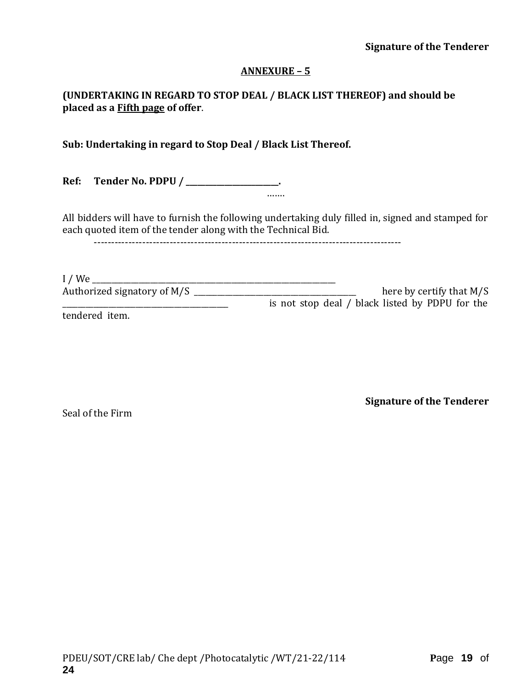#### **Signature of the Tenderer**

#### **ANNEXURE – 5**

### **(UNDERTAKING IN REGARD TO STOP DEAL / BLACK LIST THEREOF) and should be placed as a Fifth page of offer**.

**Sub: Undertaking in regard to Stop Deal / Black List Thereof.**

**Ref: Tender No. PDPU / \_\_\_\_\_\_\_\_\_\_\_\_\_\_\_\_\_\_\_\_\_\_\_\_.**

All bidders will have to furnish the following undertaking duly filled in, signed and stamped for each quoted item of the tender along with the Technical Bid.

……

-----------------------------------------------------------------------------------------

I / We \_\_\_\_\_\_\_\_\_\_\_\_\_\_\_\_\_\_\_\_\_\_\_\_\_\_\_\_\_\_\_\_\_\_\_\_\_\_\_\_\_\_\_\_\_\_\_\_\_\_\_\_\_\_\_\_\_\_\_\_\_\_\_ Authorized signatory of M/S \_\_\_\_\_\_\_\_\_\_\_\_\_\_\_\_\_\_\_\_\_\_\_\_\_\_\_\_\_\_\_\_\_\_\_\_\_\_\_\_\_\_ here by certify that M/S \_\_\_\_\_\_\_\_\_\_\_\_\_\_\_\_\_\_\_\_\_\_\_\_\_\_\_\_\_\_\_\_\_\_\_\_\_\_\_\_\_\_\_ is not stop deal / black listed by PDPU for the

tendered item.

Seal of the Firm

**Signature of the Tenderer**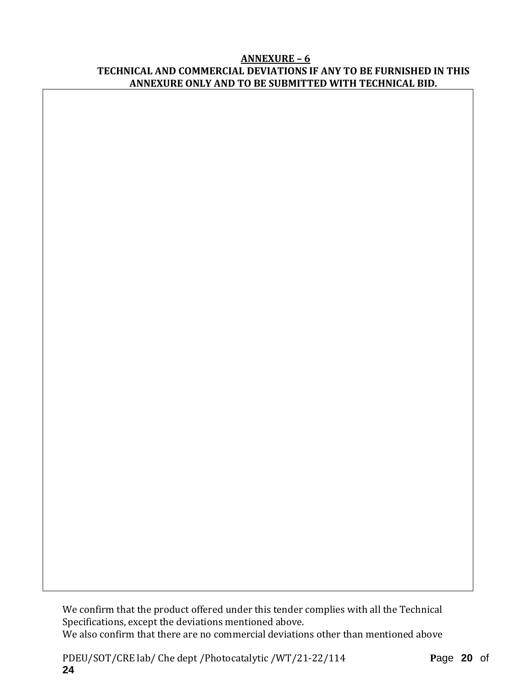#### **ANNEXURE – 6 TECHNICAL AND COMMERCIAL DEVIATIONS IF ANY TO BE FURNISHED IN THIS ANNEXURE ONLY AND TO BE SUBMITTED WITH TECHNICAL BID.**

We confirm that the product offered under this tender complies with all the Technical Specifications, except the deviations mentioned above. We also confirm that there are no commercial deviations other than mentioned above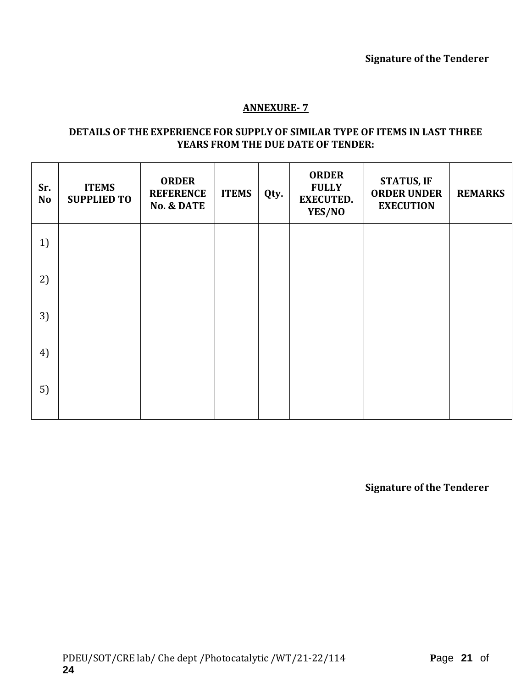### **ANNEXURE- 7**

#### **DETAILS OF THE EXPERIENCE FOR SUPPLY OF SIMILAR TYPE OF ITEMS IN LAST THREE YEARS FROM THE DUE DATE OF TENDER:**

| Sr.<br><b>No</b> | <b>ITEMS</b><br><b>SUPPLIED TO</b> | <b>ORDER</b><br><b>REFERENCE</b><br><b>No. &amp; DATE</b> | <b>ITEMS</b> | Qty. | <b>ORDER</b><br><b>FULLY</b><br><b>EXECUTED.</b><br>YES/NO | <b>STATUS, IF</b><br><b>ORDER UNDER</b><br><b>EXECUTION</b> | <b>REMARKS</b> |
|------------------|------------------------------------|-----------------------------------------------------------|--------------|------|------------------------------------------------------------|-------------------------------------------------------------|----------------|
| 1)               |                                    |                                                           |              |      |                                                            |                                                             |                |
| 2)               |                                    |                                                           |              |      |                                                            |                                                             |                |
| 3)               |                                    |                                                           |              |      |                                                            |                                                             |                |
| 4)               |                                    |                                                           |              |      |                                                            |                                                             |                |
| 5)               |                                    |                                                           |              |      |                                                            |                                                             |                |

**Signature of the Tenderer**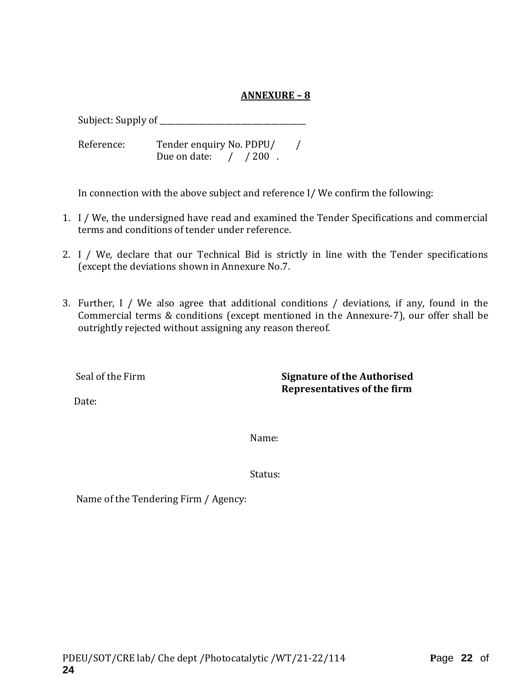### **ANNEXURE – 8**

Subject: Supply of \_\_\_\_\_\_\_\_\_\_\_\_\_\_\_\_\_\_\_\_\_\_\_\_\_\_\_\_\_\_\_\_\_\_\_\_\_\_

Reference: Tender enquiry No. PDPU/ / Due on date:  $/ 200$ .

In connection with the above subject and reference I/ We confirm the following:

- 1. I / We, the undersigned have read and examined the Tender Specifications and commercial terms and conditions of tender under reference.
- 2. I / We, declare that our Technical Bid is strictly in line with the Tender specifications (except the deviations shown in Annexure No.7.
- 3. Further, I / We also agree that additional conditions / deviations, if any, found in the Commercial terms & conditions (except mentioned in the Annexure-7), our offer shall be outrightly rejected without assigning any reason thereof.

Seal of the Firm **Signature of the Authorised Representatives of the firm**

Date:

Name:

Status:

Name of the Tendering Firm / Agency: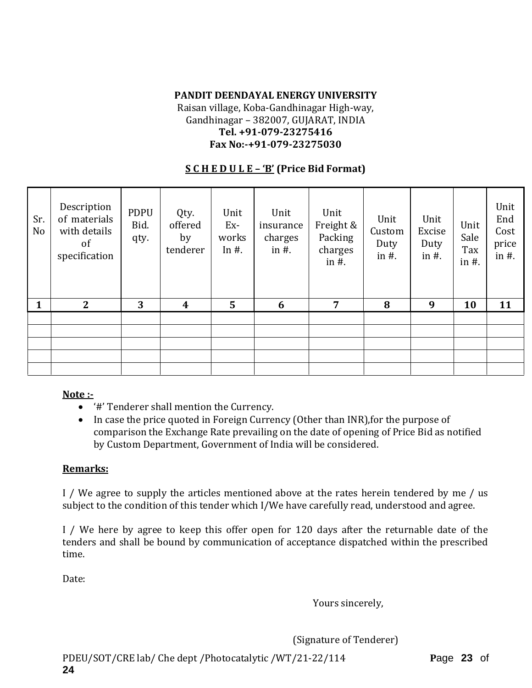# **PANDIT DEENDAYAL ENERGY UNIVERSITY**

Raisan village, Koba-Gandhinagar High-way, Gandhinagar – 382007, GUJARAT, INDIA **Tel. +91-079-23275416 Fax No:-+91-079-23275030**

### **S C H E D U L E – 'B' (Price Bid Format)**

| Sr.<br>No | Description<br>of materials<br>with details<br>of<br>specification | <b>PDPU</b><br>Bid.<br>qty. | Qty.<br>offered<br>by<br>tenderer | Unit<br>Ex-<br>works<br>In $#$ . | Unit<br>insurance<br>charges<br>in $#$ . | Unit<br>Freight &<br>Packing<br>charges<br>in $#$ . | Unit<br>Custom<br>Duty<br>in $#$ . | Unit<br>Excise<br>Duty<br>in $#$ . | Unit<br>Sale<br>Tax<br>in $#$ . | Unit<br>End<br>Cost<br>price<br>in $#$ . |
|-----------|--------------------------------------------------------------------|-----------------------------|-----------------------------------|----------------------------------|------------------------------------------|-----------------------------------------------------|------------------------------------|------------------------------------|---------------------------------|------------------------------------------|
| 1         | $\mathbf{2}$                                                       | 3                           | 4                                 | $5\phantom{1}$                   | 6                                        | $\overline{7}$                                      | 8                                  | 9                                  | 10                              | 11                                       |
|           |                                                                    |                             |                                   |                                  |                                          |                                                     |                                    |                                    |                                 |                                          |
|           |                                                                    |                             |                                   |                                  |                                          |                                                     |                                    |                                    |                                 |                                          |
|           |                                                                    |                             |                                   |                                  |                                          |                                                     |                                    |                                    |                                 |                                          |
|           |                                                                    |                             |                                   |                                  |                                          |                                                     |                                    |                                    |                                 |                                          |
|           |                                                                    |                             |                                   |                                  |                                          |                                                     |                                    |                                    |                                 |                                          |

#### **Note :-**

- '#' Tenderer shall mention the Currency.
- In case the price quoted in Foreign Currency (Other than INR), for the purpose of comparison the Exchange Rate prevailing on the date of opening of Price Bid as notified by Custom Department, Government of India will be considered.

### **Remarks:**

I / We agree to supply the articles mentioned above at the rates herein tendered by me / us subject to the condition of this tender which I/We have carefully read, understood and agree.

I / We here by agree to keep this offer open for 120 days after the returnable date of the tenders and shall be bound by communication of acceptance dispatched within the prescribed time.

Date:

Yours sincerely,

(Signature of Tenderer)